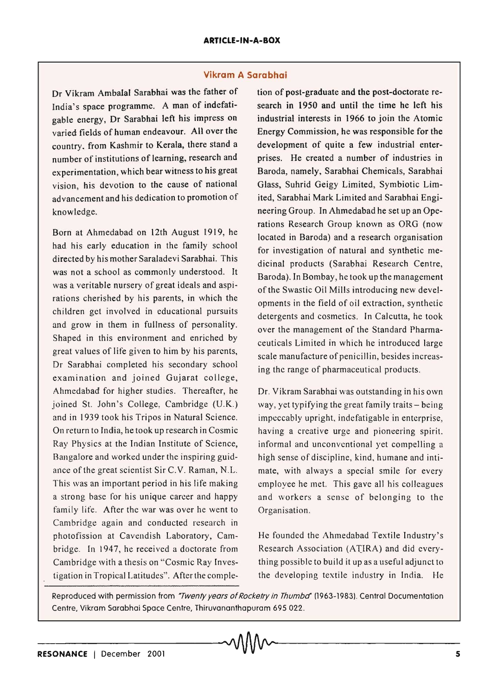## **Vikram A Sarabhai**

Dr Vikram Ambalal Sarabhai was the father of India's space programme. A man of indefatigable energy, Dr Sarabhai left his impress on varied fields of human endeavour. All over the country. from Kashmir to Kerala, there stand a number of institutions of learning, research and experimentation, which bear witness to his great vision, his devotion to the cause of national advancement and his dedication to promotion of knowledge.

Born at Ahmedabad on 12th August 1919, he had his early education in the family school directed by his mother Saraladevi Sarabhai. This was not a school as commonly understood. It was a veritable nursery of great ideals and aspirations cherished by his parents, in which the children get involved in educational pursuits and grow in them in fullness of personality. Shaped in this environment and enriched by great values of life given to him by his parents, Dr Sarabhai completed his secondary school examination and joined Gujarat college, Ahmedabad for higher studies. Thereafter, he joined St. John's College, Cambridge (U.K.) and in 1939 took his Tripos in Natural Science. On return to India, he took up research in Cosmic Ray Physics at the Indian Institute of Science, Bangalore and worked under the inspiring guidance of the great scientist Sir C.V. Raman, N.L. This was an important period in his life making a strong base for his unique career and happy family life. After the war was over he went to Cambridge again and conducted research in photofission at Cavendish Laboratory, Cambridge. In 1947, he received a doctorate from Cambridge with a thesis on "Cosmic Ray Investigation in Tropical Latitudes". After the completion of post-graduate and the post-doctorate research in 1950 and until the time he left his industrial interests in 1966 to join the Atomic Energy Commission, he was responsible for the development of quite a few industrial enterprises. He created a number of industries in Baroda, namely, Sarabhai Chemicals, Sarabhai Glass, Suhrid Geigy Limited, Symbiotic Limited, Sarabhai Mark Limited and Sarabhai Engineering Group. In Ahmedabad he set up an Operations Research Group known as ORG (now located in Baroda) and a research organisation for investigation of natural and synthetic medicinal products (Sarabhai Research Centre, Baroda). In Bombay, he took up the management of the Swastic Oil Mills introducing new developments in the field of oil extraction, synthetic detergents and cosmetics. In Calcutta, he took over the management of the Standard Pharmaceuticals Limited in which he introduced large scale manufacture of penicillin, besides increasing the range of pharmaceutical products.

Dr. Vikram Sarabhai was outstanding in his own way, yet typifying the great family traits  $-$  being impeccably upright, indefatigable in enterprise, having a creative urge and pioneering spirit. informal and unconventional yet compelling a high sense of discipline, kind, humane and intimate, with always a special smile for every employee he met. This gave all his colleagues and workers a sense of belonging to the Organisation.

He founded the Ahmedabad Textile Industry's Research Association (ATIRA) and did everything possible to build it up as a useful adjunct to the developing textile industry in India. He

Reproduced with permission from "Twenty years of Rocketry in Thumba" (1963-1983). Central Documentation Centre, Vikram Sarabhai Space Centre, Thiruvananthapuram 695 022.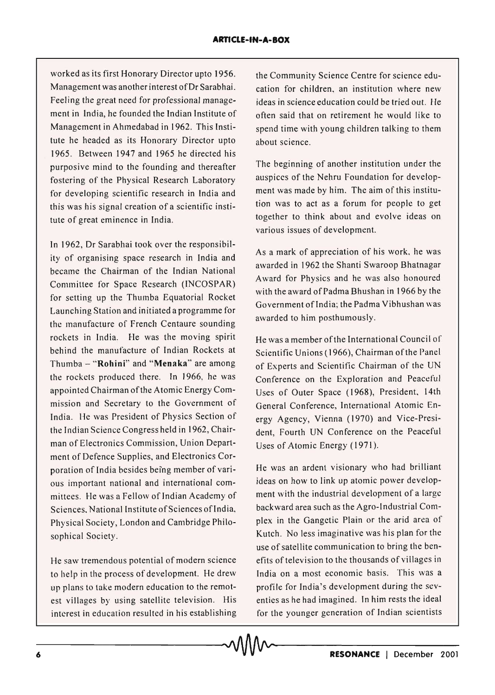worked as its first Honorary Director upto 1956. Management was another interest of Dr Sarabhai. Feeling the great need for professional management in India, he founded the Indian Institute of Management in Ahmedabad in 1962. This Institute he headed as its Honorary Director upto 1965. Between 1947 and 1965 he directed his purposive mind to the founding and thereafter fostering of the Physical Research Laboratory for developing scientific research in India and this was his signal creation of a scientific institute of great eminence in India.

In 1962, Dr Sarabhai took over the responsibility of organising space research in India and became the Chairman of the Indian National Committee for Space Research (lNCOSPAR) for setting up the Thumba Equatorial Rocket Launching Station and initiated a programme for the manufacture of French Centaure sounding rockets in India. He was the moving spirit behind the manufacture of Indian Rockets at Thumba - "Rohini" and "Menaka" are among the rockets produced there. In 1966, he was appointed Chairman of the Atomic Energy Commission and Secretary to the Government of India. He was President of Physics Section of the Indian Science Congress held in 1962, Chairman of Electronics Commission, Union Department of Defence Supplies, and Electronics Corporation of India besides being member of various important national and international committees. He was a Fellow of Indian Academy of Sciences, National Institute of Sciences of India, Physical Society, London and Cambridge Philosophical Society.

He saw tremendous potential of modern science to help in the process of development. He drew up plans to take modern education to the remotest villages by using satellite television. His interest in education resulted in his establishing interest in education resulted in his establishing for the younger generation of Indian scientists<br> **A**<br> **A**<br> **A**<br> **A**<br> **A**<br> **C**<br> **RESONANCE** | December 2001

the Community Science Centre for science education for children, an institution where new ideas in science education could be tried out. He often said that on retirement he would like to spend time with young children talking to them about science.

The beginning of another institution under the auspices of the Nehru Foundation for development was made by him. The aim of this institution was to act as a forum for people to get together to think about and evolve ideas on various issues of development.

As a mark of appreciation of his work, he was awarded in 1962 the Shanti Swaroop Bhatnagar Award for Physics and he was also honoured with the award of Padma Bhushan in 1966 by the Government of India; the Padma Vibhushan was awarded to him posthumously.

He was a member of the International Council of Scientific Unions (1966), Chairman of the Panel of Experts and Scientific Chairman of the UN Conference on the Exploration and Peaceful Uses of Outer Space (1968), President, 14th General Conference, International Atomic Energy Agency, Vienna (1970) and Vice-President, Fourth UN Conference on the Peaceful Uses of Atomic Energy (1971).

He was an ardent visionary who had brilliant ideas on how to link up atomic power development with the industrial development of a large backward area such as the Agro-Industrial Complex in the Gangetic Plain or the arid area of Kutch. No less imaginative was his plan for the use of satellite communication to bring the benefits of television to the thousands of villages in India on a most economic basis. This was a profile for India's development during the seventies as he had imagined. In him rests the ideal for the younger generation of Indian scientists